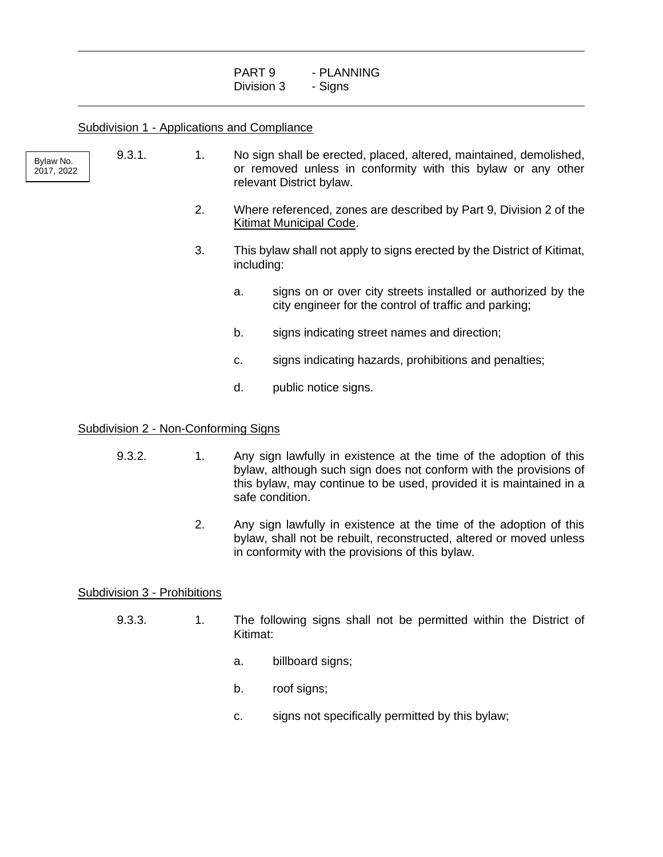| PART 9     | - PLANNING |
|------------|------------|
| Division 3 | - Signs    |

|                         | <b>Subdivision 1 - Applications and Compliance</b> |    |                                                                                                                                                                                               |                                                                                                                                                                                                                                   |  |  |
|-------------------------|----------------------------------------------------|----|-----------------------------------------------------------------------------------------------------------------------------------------------------------------------------------------------|-----------------------------------------------------------------------------------------------------------------------------------------------------------------------------------------------------------------------------------|--|--|
| Bylaw No.<br>2017, 2022 | 9.3.1.                                             | 1. | No sign shall be erected, placed, altered, maintained, demolished,<br>or removed unless in conformity with this bylaw or any other<br>relevant District bylaw.                                |                                                                                                                                                                                                                                   |  |  |
|                         |                                                    | 2. | Where referenced, zones are described by Part 9, Division 2 of the<br>Kitimat Municipal Code.                                                                                                 |                                                                                                                                                                                                                                   |  |  |
|                         |                                                    | 3. | This bylaw shall not apply to signs erected by the District of Kitimat,<br>including:                                                                                                         |                                                                                                                                                                                                                                   |  |  |
|                         |                                                    |    | a.                                                                                                                                                                                            | signs on or over city streets installed or authorized by the<br>city engineer for the control of traffic and parking;                                                                                                             |  |  |
|                         |                                                    |    | b.                                                                                                                                                                                            | signs indicating street names and direction;                                                                                                                                                                                      |  |  |
|                         |                                                    |    | C.                                                                                                                                                                                            | signs indicating hazards, prohibitions and penalties;                                                                                                                                                                             |  |  |
|                         |                                                    |    | d.                                                                                                                                                                                            | public notice signs.                                                                                                                                                                                                              |  |  |
|                         | Subdivision 2 - Non-Conforming Signs               |    |                                                                                                                                                                                               |                                                                                                                                                                                                                                   |  |  |
|                         | 9.3.2.                                             | 1. |                                                                                                                                                                                               | Any sign lawfully in existence at the time of the adoption of this<br>bylaw, although such sign does not conform with the provisions of<br>this bylaw, may continue to be used, provided it is maintained in a<br>safe condition. |  |  |
|                         |                                                    | 2. | Any sign lawfully in existence at the time of the adoption of this<br>bylaw, shall not be rebuilt, reconstructed, altered or moved unless<br>in conformity with the provisions of this bylaw. |                                                                                                                                                                                                                                   |  |  |

# Subdivision 3 - Prohibitions

 $\overline{a}$ 

 $\overline{a}$ 

- 9.3.3. 1. The following signs shall not be permitted within the District of Kitimat:
	- a. billboard signs;
	- b. roof signs;
	- c. signs not specifically permitted by this bylaw;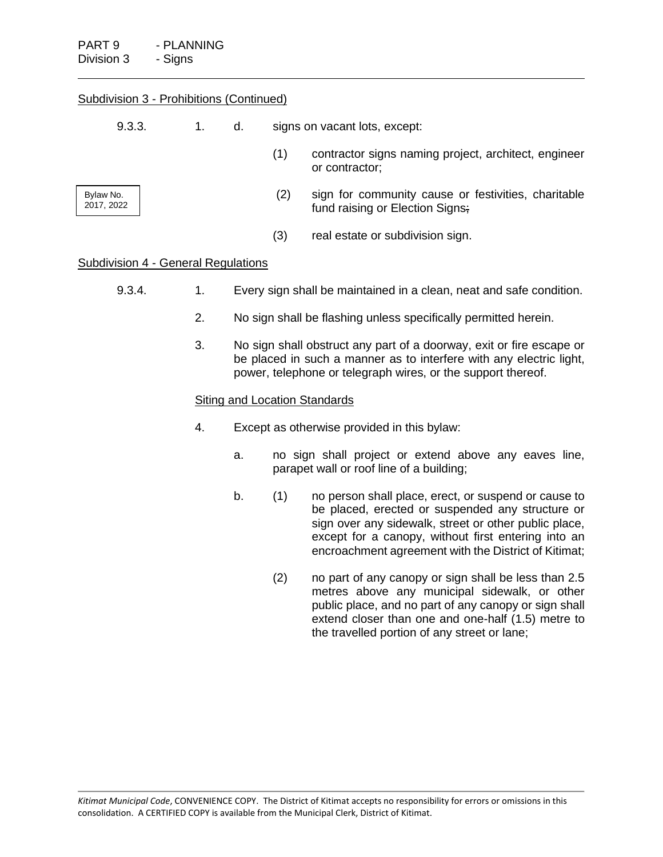| Subdivision 3 - Prohibitions (Continued)   |    |                                                                                                                                                                                                             |                                                                                                   |                                                                                                                                                                                                                                                                                  |  |
|--------------------------------------------|----|-------------------------------------------------------------------------------------------------------------------------------------------------------------------------------------------------------------|---------------------------------------------------------------------------------------------------|----------------------------------------------------------------------------------------------------------------------------------------------------------------------------------------------------------------------------------------------------------------------------------|--|
| 9.3.3.                                     | 1. | d.                                                                                                                                                                                                          | signs on vacant lots, except:                                                                     |                                                                                                                                                                                                                                                                                  |  |
|                                            |    |                                                                                                                                                                                                             | (1)                                                                                               | contractor signs naming project, architect, engineer<br>or contractor;                                                                                                                                                                                                           |  |
| Bylaw No.<br>2017, 2022                    |    |                                                                                                                                                                                                             | (2)                                                                                               | sign for community cause or festivities, charitable<br>fund raising or Election Signs;                                                                                                                                                                                           |  |
|                                            |    |                                                                                                                                                                                                             | (3)                                                                                               | real estate or subdivision sign.                                                                                                                                                                                                                                                 |  |
| <b>Subdivision 4 - General Regulations</b> |    |                                                                                                                                                                                                             |                                                                                                   |                                                                                                                                                                                                                                                                                  |  |
| 9.3.4.                                     | 1. | Every sign shall be maintained in a clean, neat and safe condition.                                                                                                                                         |                                                                                                   |                                                                                                                                                                                                                                                                                  |  |
|                                            | 2. | No sign shall be flashing unless specifically permitted herein.                                                                                                                                             |                                                                                                   |                                                                                                                                                                                                                                                                                  |  |
|                                            | 3. | No sign shall obstruct any part of a doorway, exit or fire escape or<br>be placed in such a manner as to interfere with any electric light,<br>power, telephone or telegraph wires, or the support thereof. |                                                                                                   |                                                                                                                                                                                                                                                                                  |  |
|                                            |    | <b>Siting and Location Standards</b>                                                                                                                                                                        |                                                                                                   |                                                                                                                                                                                                                                                                                  |  |
|                                            | 4. | Except as otherwise provided in this bylaw:                                                                                                                                                                 |                                                                                                   |                                                                                                                                                                                                                                                                                  |  |
|                                            |    | a.                                                                                                                                                                                                          | no sign shall project or extend above any eaves line,<br>parapet wall or roof line of a building; |                                                                                                                                                                                                                                                                                  |  |
|                                            |    | b.                                                                                                                                                                                                          | (1)                                                                                               | no person shall place, erect, or suspend or cause to<br>be placed, erected or suspended any structure or<br>sign over any sidewalk, street or other public place,<br>except for a canopy, without first entering into an<br>encroachment agreement with the District of Kitimat; |  |
|                                            |    |                                                                                                                                                                                                             | (2)                                                                                               | no part of any canopy or sign shall be less than 2.5                                                                                                                                                                                                                             |  |

metres above any municipal sidewalk, or other public place, and no part of any canopy or sign shall extend closer than one and one-half (1.5) metre to the travelled portion of any street or lane;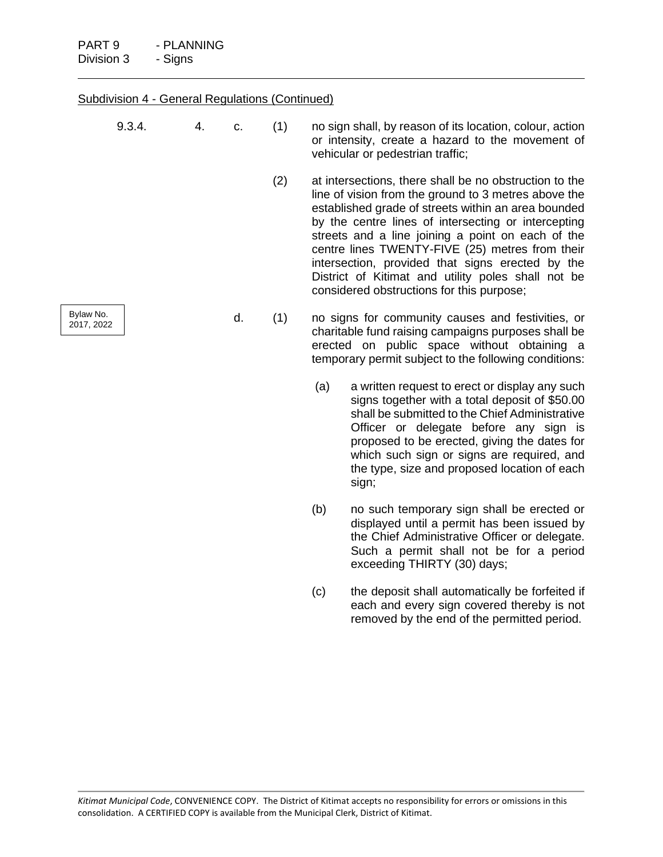|                         | <b>Subdivision 4 - General Regulations (Continued)</b> |  |     |     |                                                                                                                                                                                                                  |                                                                                                                                                                                                                                                                                                                                                                                                                                                                                             |  |
|-------------------------|--------------------------------------------------------|--|-----|-----|------------------------------------------------------------------------------------------------------------------------------------------------------------------------------------------------------------------|---------------------------------------------------------------------------------------------------------------------------------------------------------------------------------------------------------------------------------------------------------------------------------------------------------------------------------------------------------------------------------------------------------------------------------------------------------------------------------------------|--|
|                         | 9.3.4.<br>4.<br>c.                                     |  | (1) |     | no sign shall, by reason of its location, colour, action<br>or intensity, create a hazard to the movement of<br>vehicular or pedestrian traffic;                                                                 |                                                                                                                                                                                                                                                                                                                                                                                                                                                                                             |  |
|                         |                                                        |  |     | (2) |                                                                                                                                                                                                                  | at intersections, there shall be no obstruction to the<br>line of vision from the ground to 3 metres above the<br>established grade of streets within an area bounded<br>by the centre lines of intersecting or intercepting<br>streets and a line joining a point on each of the<br>centre lines TWENTY-FIVE (25) metres from their<br>intersection, provided that signs erected by the<br>District of Kitimat and utility poles shall not be<br>considered obstructions for this purpose; |  |
| Bylaw No.<br>2017, 2022 |                                                        |  | d.  | (1) | no signs for community causes and festivities, or<br>charitable fund raising campaigns purposes shall be<br>erected on public space without obtaining a<br>temporary permit subject to the following conditions: |                                                                                                                                                                                                                                                                                                                                                                                                                                                                                             |  |
|                         |                                                        |  |     |     | (a)                                                                                                                                                                                                              | a written request to erect or display any such<br>signs together with a total deposit of \$50.00<br>shall be submitted to the Chief Administrative<br>Officer or delegate before any sign is<br>proposed to be erected, giving the dates for<br>which such sign or signs are required, and<br>the type, size and proposed location of each<br>sign;                                                                                                                                         |  |
|                         |                                                        |  |     |     | (b)                                                                                                                                                                                                              | no such temporary sign shall be erected or<br>displayed until a permit has been issued by<br>the Chief Administrative Officer or delegate.<br>Such a permit shall not be for a period<br>exceeding THIRTY (30) days;                                                                                                                                                                                                                                                                        |  |
|                         |                                                        |  |     |     | (c)                                                                                                                                                                                                              | the deposit shall automatically be forfeited if<br>each and every sign covered thereby is not                                                                                                                                                                                                                                                                                                                                                                                               |  |

removed by the end of the permitted period.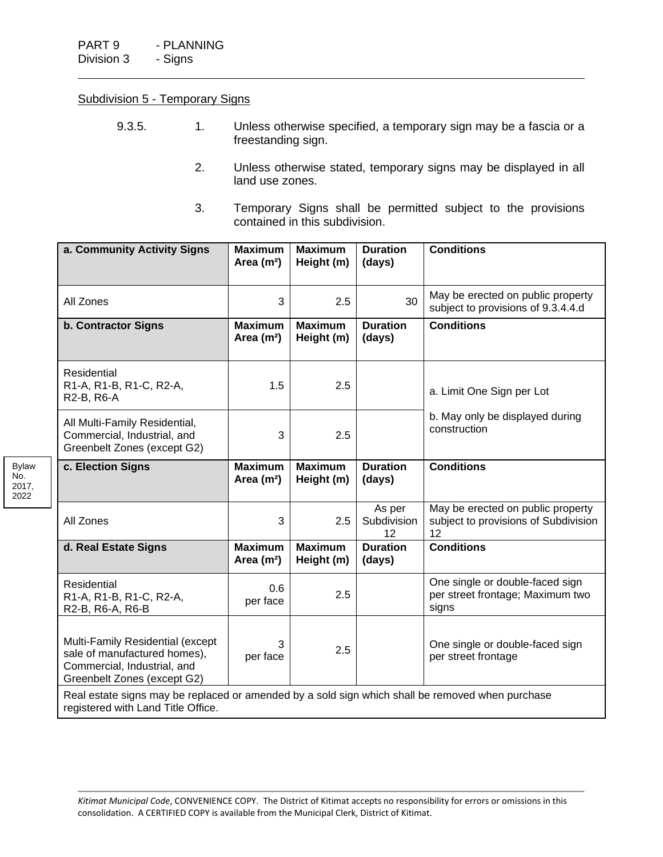Bylaw No. 2017, 2022

#### Subdivision 5 - Temporary Signs

- 9.3.5. 1. Unless otherwise specified, a temporary sign may be a fascia or a freestanding sign.
	- 2. Unless otherwise stated, temporary signs may be displayed in all land use zones.
	- 3. Temporary Signs shall be permitted subject to the provisions contained in this subdivision.

| a. Community Activity Signs                                                                                                            | <b>Maximum</b><br>Area $(m2)$ | <b>Maximum</b><br>Height (m) | <b>Duration</b><br>(days)   | <b>Conditions</b>                                                               |  |
|----------------------------------------------------------------------------------------------------------------------------------------|-------------------------------|------------------------------|-----------------------------|---------------------------------------------------------------------------------|--|
| All Zones                                                                                                                              | 3                             | 2.5                          | 30                          | May be erected on public property<br>subject to provisions of 9.3.4.4.d         |  |
| <b>b. Contractor Signs</b>                                                                                                             | <b>Maximum</b><br>Area $(m2)$ | <b>Maximum</b><br>Height (m) | <b>Duration</b><br>(days)   | <b>Conditions</b>                                                               |  |
| Residential<br>R1-A, R1-B, R1-C, R2-A,<br>R2-B, R6-A                                                                                   | 1.5                           | 2.5                          |                             | a. Limit One Sign per Lot                                                       |  |
| All Multi-Family Residential,<br>Commercial, Industrial, and<br>Greenbelt Zones (except G2)                                            | 3                             | 2.5                          |                             | b. May only be displayed during<br>construction                                 |  |
| c. Election Signs                                                                                                                      | <b>Maximum</b><br>Area $(m2)$ | <b>Maximum</b><br>Height (m) | <b>Duration</b><br>(days)   | <b>Conditions</b>                                                               |  |
| All Zones                                                                                                                              | 3                             | 2.5                          | As per<br>Subdivision<br>12 | May be erected on public property<br>subject to provisions of Subdivision<br>12 |  |
| d. Real Estate Signs                                                                                                                   | <b>Maximum</b><br>Area $(m2)$ | <b>Maximum</b><br>Height (m) | <b>Duration</b><br>(days)   | <b>Conditions</b>                                                               |  |
| <b>Residential</b><br>R1-A, R1-B, R1-C, R2-A,<br>R2-B, R6-A, R6-B                                                                      | 0.6<br>per face               | 2.5                          |                             | One single or double-faced sign<br>per street frontage; Maximum two<br>signs    |  |
| Multi-Family Residential (except<br>sale of manufactured homes),<br>Commercial, Industrial, and<br>Greenbelt Zones (except G2)         | 3<br>per face                 | 2.5                          |                             | One single or double-faced sign<br>per street frontage                          |  |
| Real estate signs may be replaced or amended by a sold sign which shall be removed when purchase<br>registered with Land Title Office. |                               |                              |                             |                                                                                 |  |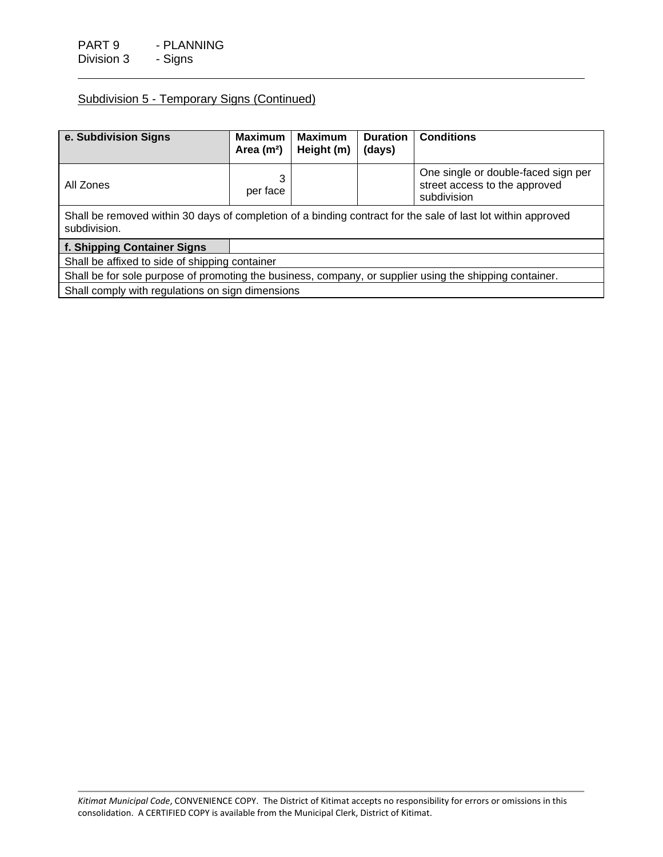# Subdivision 5 - Temporary Signs (Continued)

| e. Subdivision Signs                                                                                                         | <b>Maximum</b><br>Area $(m2)$ | <b>Maximum</b><br>Height (m) | <b>Duration</b><br>(days) | <b>Conditions</b>                                                                   |  |
|------------------------------------------------------------------------------------------------------------------------------|-------------------------------|------------------------------|---------------------------|-------------------------------------------------------------------------------------|--|
| All Zones                                                                                                                    | 3<br>per face                 |                              |                           | One single or double-faced sign per<br>street access to the approved<br>subdivision |  |
| Shall be removed within 30 days of completion of a binding contract for the sale of last lot within approved<br>subdivision. |                               |                              |                           |                                                                                     |  |
| f. Shipping Container Signs                                                                                                  |                               |                              |                           |                                                                                     |  |
| Shall be affixed to side of shipping container                                                                               |                               |                              |                           |                                                                                     |  |
| Shall be for sole purpose of promoting the business, company, or supplier using the shipping container.                      |                               |                              |                           |                                                                                     |  |
| Shall comply with regulations on sign dimensions                                                                             |                               |                              |                           |                                                                                     |  |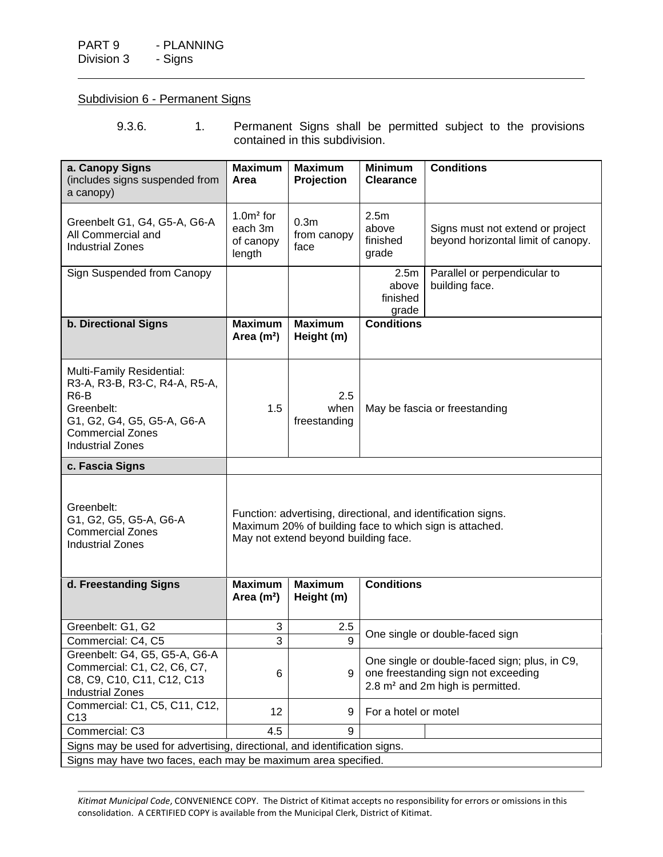# Subdivision 6 - Permanent Signs

9.3.6. 1. Permanent Signs shall be permitted subject to the provisions contained in this subdivision.

| a. Canopy Signs<br>(includes signs suspended from<br>a canopy)                                                                                                         | <b>Maximum</b><br>Area                                                                                                                                           | <b>Maximum</b><br>Projection | <b>Minimum</b><br><b>Clearance</b> | <b>Conditions</b>                                                      |  |  |
|------------------------------------------------------------------------------------------------------------------------------------------------------------------------|------------------------------------------------------------------------------------------------------------------------------------------------------------------|------------------------------|------------------------------------|------------------------------------------------------------------------|--|--|
| Greenbelt G1, G4, G5-A, G6-A<br>All Commercial and<br><b>Industrial Zones</b>                                                                                          | 2.5 <sub>m</sub><br>$1.0m²$ for<br>0.3 <sub>m</sub><br>above<br>each 3m<br>from canopy<br>finished<br>of canopy<br>face<br>grade<br>length                       |                              |                                    | Signs must not extend or project<br>beyond horizontal limit of canopy. |  |  |
| Sign Suspended from Canopy                                                                                                                                             |                                                                                                                                                                  |                              | 2.5m<br>above<br>finished<br>grade | Parallel or perpendicular to<br>building face.                         |  |  |
| <b>b. Directional Signs</b>                                                                                                                                            | <b>Maximum</b><br>Area $(m2)$                                                                                                                                    | <b>Maximum</b><br>Height (m) | <b>Conditions</b>                  |                                                                        |  |  |
| Multi-Family Residential:<br>R3-A, R3-B, R3-C, R4-A, R5-A,<br>$R6-B$<br>Greenbelt:<br>G1, G2, G4, G5, G5-A, G6-A<br><b>Commercial Zones</b><br><b>Industrial Zones</b> | 2.5<br>1.5<br>when<br>May be fascia or freestanding<br>freestanding                                                                                              |                              |                                    |                                                                        |  |  |
| c. Fascia Signs                                                                                                                                                        |                                                                                                                                                                  |                              |                                    |                                                                        |  |  |
| Greenbelt:<br>G1, G2, G5, G5-A, G6-A<br><b>Commercial Zones</b><br><b>Industrial Zones</b>                                                                             | Function: advertising, directional, and identification signs.<br>Maximum 20% of building face to which sign is attached.<br>May not extend beyond building face. |                              |                                    |                                                                        |  |  |
| d. Freestanding Signs                                                                                                                                                  | <b>Maximum</b><br>Area $(m2)$                                                                                                                                    | <b>Maximum</b><br>Height (m) | <b>Conditions</b>                  |                                                                        |  |  |
| Greenbelt: G1, G2                                                                                                                                                      | 3                                                                                                                                                                | 2.5                          |                                    | One single or double-faced sign                                        |  |  |
| Commercial: C4, C5                                                                                                                                                     | $\overline{3}$                                                                                                                                                   | $\mathsf{Q}$                 |                                    |                                                                        |  |  |
| Greenbelt: G4, G5, G5-A, G6-A<br>Commercial: C1, C2, C6, C7,<br>C8, C9, C10, C11, C12, C13<br><b>Industrial Zones</b>                                                  | One single or double-faced sign; plus, in C9,<br>one freestanding sign not exceeding<br>6<br>9<br>2.8 m <sup>2</sup> and 2m high is permitted.                   |                              |                                    |                                                                        |  |  |
| Commercial: C1, C5, C11, C12,<br>C <sub>13</sub>                                                                                                                       | 12                                                                                                                                                               | 9                            | For a hotel or motel               |                                                                        |  |  |
| Commercial: C3                                                                                                                                                         | 4.5                                                                                                                                                              | 9                            |                                    |                                                                        |  |  |
| Signs may be used for advertising, directional, and identification signs.                                                                                              |                                                                                                                                                                  |                              |                                    |                                                                        |  |  |
| Signs may have two faces, each may be maximum area specified.                                                                                                          |                                                                                                                                                                  |                              |                                    |                                                                        |  |  |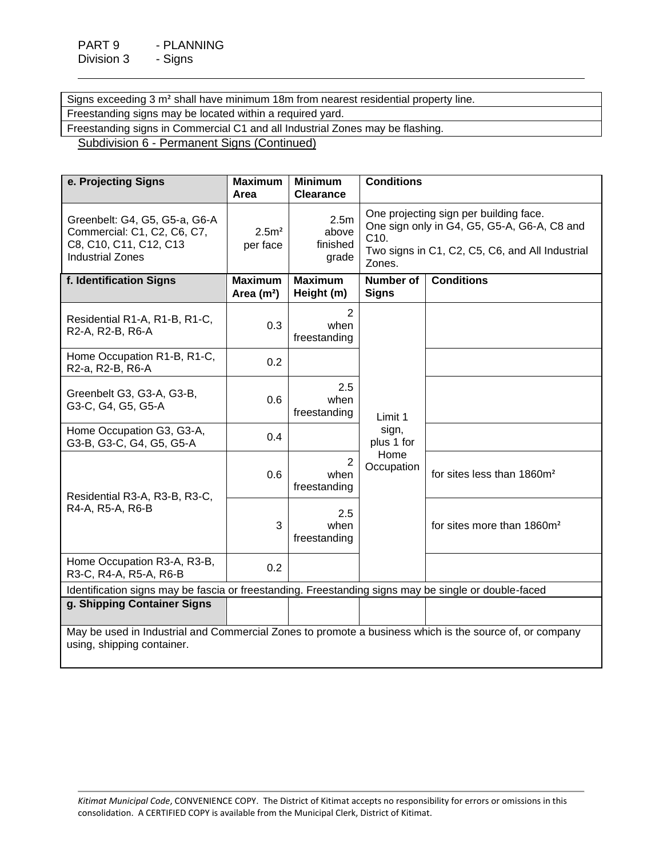Signs exceeding 3 m² shall have minimum 18m from nearest residential property line. Freestanding signs may be located within a required yard.

Freestanding signs in Commercial C1 and all Industrial Zones may be flashing.

Subdivision 6 - Permanent Signs (Continued)

| e. Projecting Signs                                                                                                                   | <b>Maximum</b><br>Area        | <b>Minimum</b><br><b>Clearance</b>     | <b>Conditions</b>                                                                                                                                          |                                        |  |  |
|---------------------------------------------------------------------------------------------------------------------------------------|-------------------------------|----------------------------------------|------------------------------------------------------------------------------------------------------------------------------------------------------------|----------------------------------------|--|--|
| Greenbelt: G4, G5, G5-a, G6-A<br>Commercial: C1, C2, C6, C7,<br>C8, C10, C11, C12, C13<br><b>Industrial Zones</b>                     | 2.5 <sup>2</sup><br>per face  | 2.5m<br>above<br>finished<br>grade     | One projecting sign per building face.<br>One sign only in G4, G5, G5-A, G6-A, C8 and<br>C10.<br>Two signs in C1, C2, C5, C6, and All Industrial<br>Zones. |                                        |  |  |
| f. Identification Signs                                                                                                               | <b>Maximum</b><br>Area $(m2)$ | <b>Maximum</b><br>Height (m)           | <b>Number of</b><br><b>Signs</b>                                                                                                                           | <b>Conditions</b>                      |  |  |
| Residential R1-A, R1-B, R1-C,<br>R2-A, R2-B, R6-A                                                                                     | 0.3                           | 2<br>when<br>freestanding              |                                                                                                                                                            |                                        |  |  |
| Home Occupation R1-B, R1-C,<br>R2-a, R2-B, R6-A                                                                                       | 0.2                           |                                        |                                                                                                                                                            |                                        |  |  |
| Greenbelt G3, G3-A, G3-B,<br>G3-C, G4, G5, G5-A                                                                                       | 0.6                           | 2.5<br>when<br>freestanding            | Limit 1                                                                                                                                                    |                                        |  |  |
| Home Occupation G3, G3-A,<br>G3-B, G3-C, G4, G5, G5-A                                                                                 | 0.4                           |                                        | sign,<br>plus 1 for                                                                                                                                        |                                        |  |  |
| Residential R3-A, R3-B, R3-C,                                                                                                         | 0.6                           | $\overline{2}$<br>when<br>freestanding | Home<br>Occupation                                                                                                                                         | for sites less than 1860m <sup>2</sup> |  |  |
| R4-A, R5-A, R6-B                                                                                                                      | 3                             | 2.5<br>when<br>freestanding            |                                                                                                                                                            | for sites more than 1860m <sup>2</sup> |  |  |
| Home Occupation R3-A, R3-B,<br>R3-C, R4-A, R5-A, R6-B                                                                                 | 0.2                           |                                        |                                                                                                                                                            |                                        |  |  |
| Identification signs may be fascia or freestanding. Freestanding signs may be single or double-faced                                  |                               |                                        |                                                                                                                                                            |                                        |  |  |
| g. Shipping Container Signs                                                                                                           |                               |                                        |                                                                                                                                                            |                                        |  |  |
| May be used in Industrial and Commercial Zones to promote a business which is the source of, or company<br>using, shipping container. |                               |                                        |                                                                                                                                                            |                                        |  |  |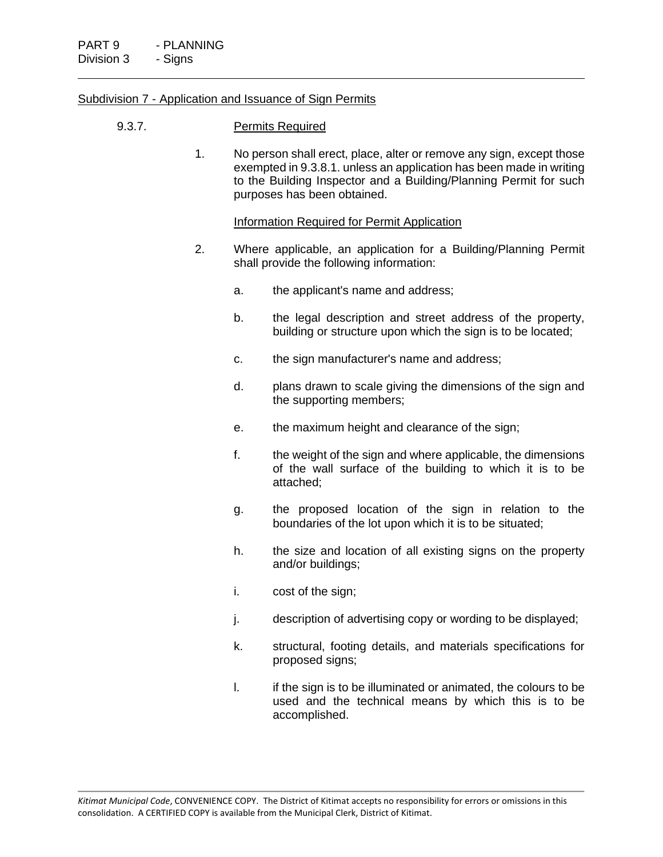#### Subdivision 7 - Application and Issuance of Sign Permits

#### 9.3.7. Permits Required

1. No person shall erect, place, alter or remove any sign, except those exempted in 9.3.8.1. unless an application has been made in writing to the Building Inspector and a Building/Planning Permit for such purposes has been obtained.

#### Information Required for Permit Application

- 2. Where applicable, an application for a Building/Planning Permit shall provide the following information:
	- a. the applicant's name and address;
	- b. the legal description and street address of the property, building or structure upon which the sign is to be located;
	- c. the sign manufacturer's name and address;
	- d. plans drawn to scale giving the dimensions of the sign and the supporting members;
	- e. the maximum height and clearance of the sign;
	- f. the weight of the sign and where applicable, the dimensions of the wall surface of the building to which it is to be attached;
	- g. the proposed location of the sign in relation to the boundaries of the lot upon which it is to be situated;
	- h. the size and location of all existing signs on the property and/or buildings;
	- i. cost of the sign;
	- j. description of advertising copy or wording to be displayed;
	- k. structural, footing details, and materials specifications for proposed signs;
	- I. if the sign is to be illuminated or animated, the colours to be used and the technical means by which this is to be accomplished.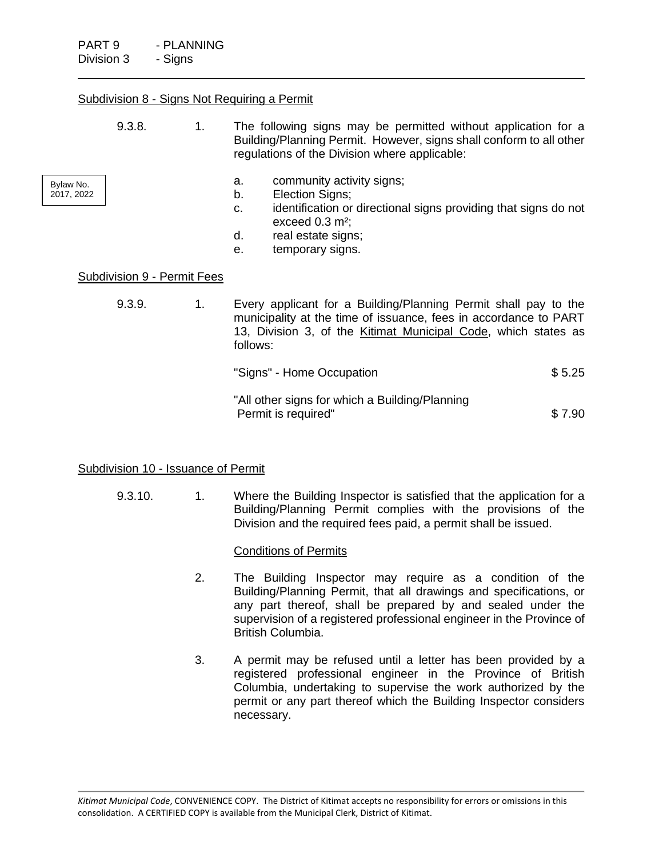#### Subdivision 8 - Signs Not Requiring a Permit

|                         | 9.3.8. | 1. | The following signs may be permitted without application for a<br>Building/Planning Permit. However, signs shall conform to all other<br>regulations of the Division where applicable: |
|-------------------------|--------|----|----------------------------------------------------------------------------------------------------------------------------------------------------------------------------------------|
| Bylaw No.<br>2017, 2022 |        |    | community activity signs;<br>а.<br>Election Signs;<br>b.<br>identification or directional signs providing that signs do not<br>c.<br>exceed $0.3$ m <sup>2</sup> ;                     |
|                         |        |    | real estate signs;<br>d.                                                                                                                                                               |
|                         |        |    | temporary signs.<br>е.                                                                                                                                                                 |

#### Subdivision 9 - Permit Fees

| 9.3.9. | 1. | Every applicant for a Building/Planning Permit shall pay to the<br>municipality at the time of issuance, fees in accordance to PART<br>13, Division 3, of the Kitimat Municipal Code, which states as<br>follows: |        |
|--------|----|-------------------------------------------------------------------------------------------------------------------------------------------------------------------------------------------------------------------|--------|
|        |    | "Signs" - Home Occupation                                                                                                                                                                                         | \$5.25 |
|        |    | "All other signs for which a Building/Planning<br>Permit is required"                                                                                                                                             | \$7.90 |

#### Subdivision 10 - Issuance of Permit

9.3.10. 1. Where the Building Inspector is satisfied that the application for a Building/Planning Permit complies with the provisions of the Division and the required fees paid, a permit shall be issued.

#### Conditions of Permits

- 2. The Building Inspector may require as a condition of the Building/Planning Permit, that all drawings and specifications, or any part thereof, shall be prepared by and sealed under the supervision of a registered professional engineer in the Province of British Columbia.
- 3. A permit may be refused until a letter has been provided by a registered professional engineer in the Province of British Columbia, undertaking to supervise the work authorized by the permit or any part thereof which the Building Inspector considers necessary.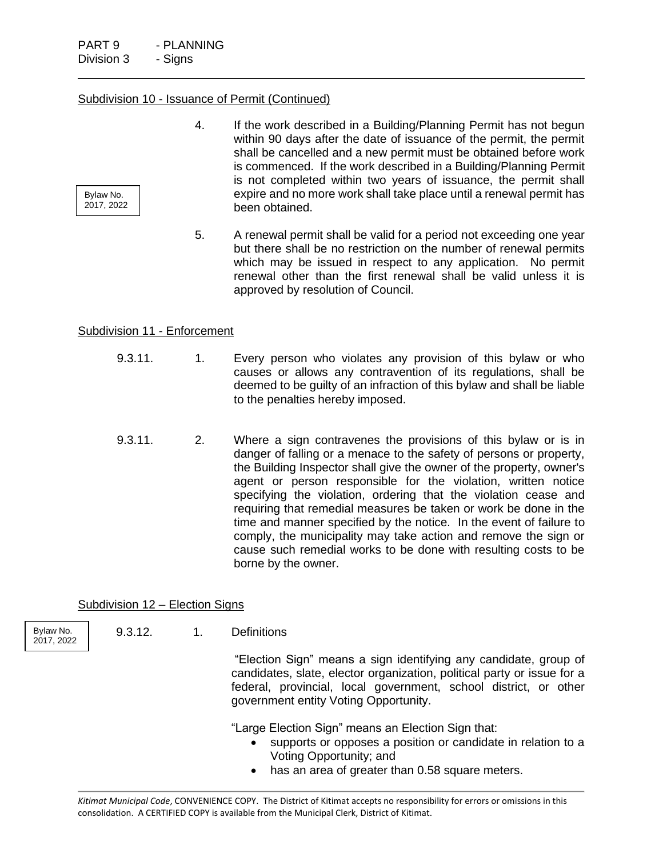Bylaw No. 2017, 2022

#### Subdivision 10 - Issuance of Permit (Continued)

- 4. If the work described in a Building/Planning Permit has not begun within 90 days after the date of issuance of the permit, the permit shall be cancelled and a new permit must be obtained before work is commenced. If the work described in a Building/Planning Permit is not completed within two years of issuance, the permit shall expire and no more work shall take place until a renewal permit has been obtained.
- 5. A renewal permit shall be valid for a period not exceeding one year but there shall be no restriction on the number of renewal permits which may be issued in respect to any application. No permit renewal other than the first renewal shall be valid unless it is approved by resolution of Council.

### Subdivision 11 - Enforcement

- 9.3.11. 1. Every person who violates any provision of this bylaw or who causes or allows any contravention of its regulations, shall be deemed to be guilty of an infraction of this bylaw and shall be liable to the penalties hereby imposed.
- 9.3.11. 2. Where a sign contravenes the provisions of this bylaw or is in danger of falling or a menace to the safety of persons or property, the Building Inspector shall give the owner of the property, owner's agent or person responsible for the violation, written notice specifying the violation, ordering that the violation cease and requiring that remedial measures be taken or work be done in the time and manner specified by the notice. In the event of failure to comply, the municipality may take action and remove the sign or cause such remedial works to be done with resulting costs to be borne by the owner.

# Subdivision 12 – Election Signs

Bylaw No. 2017, 2022 9.3.12. 1. Definitions

"Election Sign" means a sign identifying any candidate, group of candidates, slate, elector organization, political party or issue for a federal, provincial, local government, school district, or other government entity Voting Opportunity.

"Large Election Sign" means an Election Sign that:

- supports or opposes a position or candidate in relation to a Voting Opportunity; and
- has an area of greater than 0.58 square meters.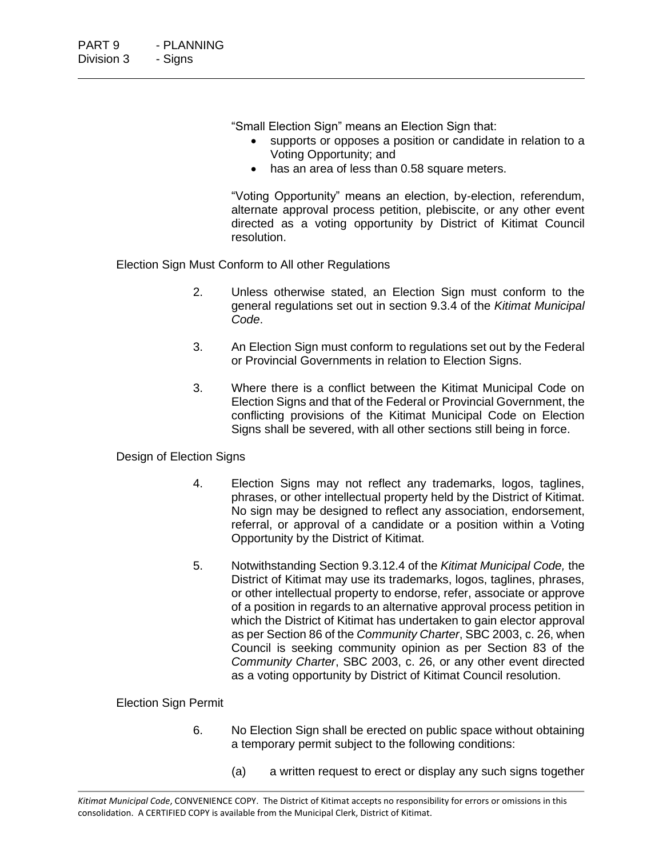"Small Election Sign" means an Election Sign that:

- supports or opposes a position or candidate in relation to a Voting Opportunity; and
- has an area of less than 0.58 square meters.

"Voting Opportunity" means an election, by-election, referendum, alternate approval process petition, plebiscite, or any other event directed as a voting opportunity by District of Kitimat Council resolution.

Election Sign Must Conform to All other Regulations

- 2. Unless otherwise stated, an Election Sign must conform to the general regulations set out in section 9.3.4 of the *Kitimat Municipal Code*.
- 3. An Election Sign must conform to regulations set out by the Federal or Provincial Governments in relation to Election Signs.
- 3. Where there is a conflict between the Kitimat Municipal Code on Election Signs and that of the Federal or Provincial Government, the conflicting provisions of the Kitimat Municipal Code on Election Signs shall be severed, with all other sections still being in force.

# Design of Election Signs

- 4. Election Signs may not reflect any trademarks, logos, taglines, phrases, or other intellectual property held by the District of Kitimat. No sign may be designed to reflect any association, endorsement, referral, or approval of a candidate or a position within a Voting Opportunity by the District of Kitimat.
- 5. Notwithstanding Section 9.3.12.4 of the *Kitimat Municipal Code,* the District of Kitimat may use its trademarks, logos, taglines, phrases, or other intellectual property to endorse, refer, associate or approve of a position in regards to an alternative approval process petition in which the District of Kitimat has undertaken to gain elector approval as per Section 86 of the *Community Charter*, SBC 2003, c. 26, when Council is seeking community opinion as per Section 83 of the *Community Charter*, SBC 2003, c. 26, or any other event directed as a voting opportunity by District of Kitimat Council resolution.

# Election Sign Permit

- 6. No Election Sign shall be erected on public space without obtaining a temporary permit subject to the following conditions:
	- (a) a written request to erect or display any such signs together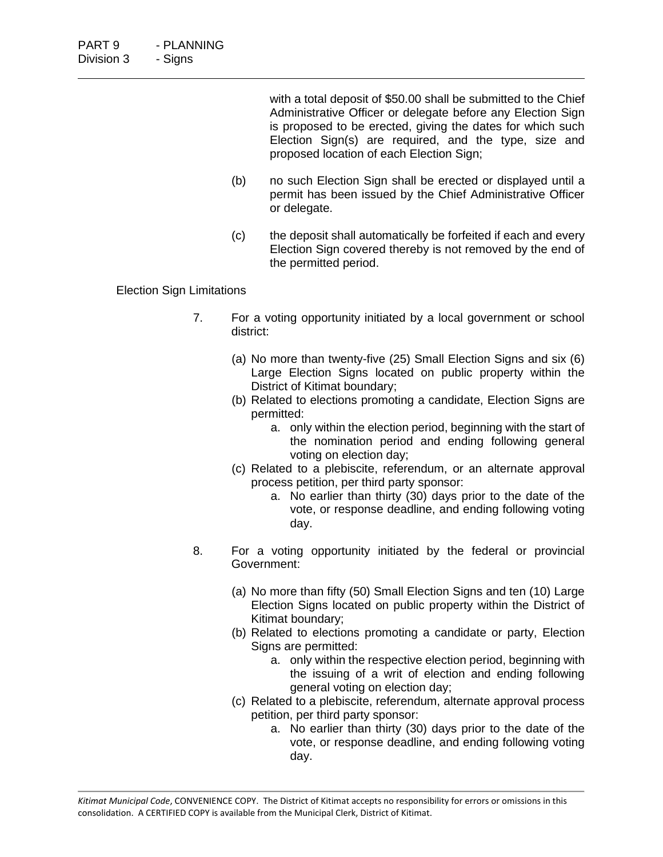with a total deposit of \$50.00 shall be submitted to the Chief Administrative Officer or delegate before any Election Sign is proposed to be erected, giving the dates for which such Election Sign(s) are required, and the type, size and proposed location of each Election Sign;

- (b) no such Election Sign shall be erected or displayed until a permit has been issued by the Chief Administrative Officer or delegate.
- (c) the deposit shall automatically be forfeited if each and every Election Sign covered thereby is not removed by the end of the permitted period.

### Election Sign Limitations

- 7. For a voting opportunity initiated by a local government or school district:
	- (a) No more than twenty-five (25) Small Election Signs and six (6) Large Election Signs located on public property within the District of Kitimat boundary;
	- (b) Related to elections promoting a candidate, Election Signs are permitted:
		- a. only within the election period, beginning with the start of the nomination period and ending following general voting on election day;
	- (c) Related to a plebiscite, referendum, or an alternate approval process petition, per third party sponsor:
		- a. No earlier than thirty (30) days prior to the date of the vote, or response deadline, and ending following voting day.
- 8. For a voting opportunity initiated by the federal or provincial Government:
	- (a) No more than fifty (50) Small Election Signs and ten (10) Large Election Signs located on public property within the District of Kitimat boundary;
	- (b) Related to elections promoting a candidate or party, Election Signs are permitted:
		- a. only within the respective election period, beginning with the issuing of a writ of election and ending following general voting on election day;
	- (c) Related to a plebiscite, referendum, alternate approval process petition, per third party sponsor:
		- a. No earlier than thirty (30) days prior to the date of the vote, or response deadline, and ending following voting day.